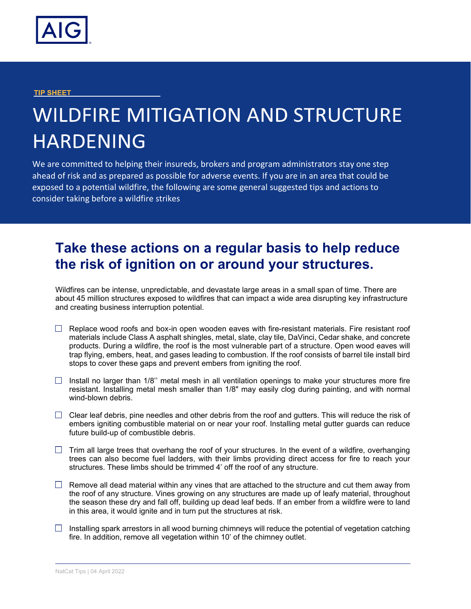

## **TIP SHEET**

## **WILDFIRE MITIGATION AND STRUCTURE HARDENING**

We are committed to helping their insureds, brokers and program administrators stay one step ahead of risk and as prepared as possible for adverse events. If you are in an area that could be exposed to a potential wildfire, the following are some general suggested tips and actions to consider taking before a wildfire strikes

## **Take these actions on a regular basis to help reduce the risk of ignition on or around your structures.**

Wildfires can be intense, unpredictable, and devastate large areas in a small span of time. There are about 45 million structures exposed to wildfires that can impact a wide area disrupting key infrastructure and creating business interruption potential.

- $\Box$  Replace wood roofs and box-in open wooden eaves with fire-resistant materials. Fire resistant roof materials include Class A asphalt shingles, metal, slate, clay tile, DaVinci, Cedar shake, and concrete products. During a wildfire, the roof is the most vulnerable part of a structure. Open wood eaves will trap flying, embers, heat, and gases leading to combustion. If the roof consists of barrel tile install bird stops to cover these gaps and prevent embers from igniting the roof.
- $\Box$  Install no larger than 1/8" metal mesh in all ventilation openings to make your structures more fire resistant. Installing metal mesh smaller than 1/8" may easily clog during painting, and with normal wind-blown debris.
- $\Box$  Clear leaf debris, pine needles and other debris from the roof and gutters. This will reduce the risk of embers igniting combustible material on or near your roof. Installing metal gutter guards can reduce future build-up of combustible debris.
- $\Box$  Trim all large trees that overhang the roof of your structures. In the event of a wildfire, overhanging trees can also become fuel ladders, with their limbs providing direct access for fire to reach your structures. These limbs should be trimmed 4' off the roof of any structure.
- $\Box$  Remove all dead material within any vines that are attached to the structure and cut them away from the roof of any structure. Vines growing on any structures are made up of leafy material, throughout the season these dry and fall off, building up dead leaf beds. If an ember from a wildfire were to land in this area, it would ignite and in turn put the structures at risk.
- $\Box$  Installing spark arrestors in all wood burning chimneys will reduce the potential of vegetation catching fire. In addition, remove all vegetation within 10' of the chimney outlet.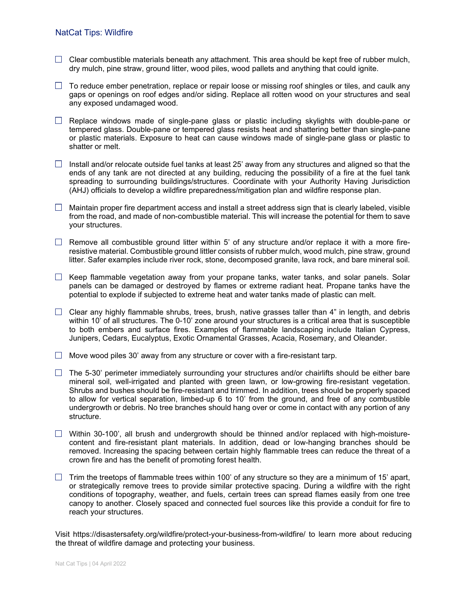- $\Box$  Clear combustible materials beneath any attachment. This area should be kept free of rubber mulch, dry mulch, pine straw, ground litter, wood piles, wood pallets and anything that could ignite.
- $\Box$  To reduce ember penetration, replace or repair loose or missing roof shingles or tiles, and caulk any gaps or openings on roof edges and/or siding. Replace all rotten wood on your structures and seal any exposed undamaged wood.
- $\Box$  Replace windows made of single-pane glass or plastic including skylights with double-pane or tempered glass. Double-pane or tempered glass resists heat and shattering better than single-pane or plastic materials. Exposure to heat can cause windows made of single-pane glass or plastic to shatter or melt.
- $\Box$  Install and/or relocate outside fuel tanks at least 25' away from any structures and aligned so that the ends of any tank are not directed at any building, reducing the possibility of a fire at the fuel tank spreading to surrounding buildings/structures. Coordinate with your Authority Having Jurisdiction (AHJ) officials to develop a wildfire preparedness/mitigation plan and wildfire response plan.
- $\Box$  Maintain proper fire department access and install a street address sign that is clearly labeled, visible from the road, and made of non-combustible material. This will increase the potential for them to save your structures.
- $\Box$  Remove all combustible ground litter within 5' of any structure and/or replace it with a more fireresistive material. Combustible ground littler consists of rubber mulch, wood mulch, pine straw, ground litter. Safer examples include river rock, stone, decomposed granite, lava rock, and bare mineral soil.
- $\Box$  Keep flammable vegetation away from your propane tanks, water tanks, and solar panels. Solar panels can be damaged or destroyed by flames or extreme radiant heat. Propane tanks have the potential to explode if subjected to extreme heat and water tanks made of plastic can melt.
- $\Box$  Clear any highly flammable shrubs, trees, brush, native grasses taller than 4" in length, and debris within 10' of all structures. The 0-10' zone around your structures is a critical area that is susceptible to both embers and surface fires. Examples of flammable landscaping include Italian Cypress, Junipers, Cedars, Eucalyptus, Exotic Ornamental Grasses, Acacia, Rosemary, and Oleander.
- $\Box$  Move wood piles 30' away from any structure or cover with a fire-resistant tarp.
- $\Box$  The 5-30' perimeter immediately surrounding your structures and/or chairlifts should be either bare mineral soil, well-irrigated and planted with green lawn, or low-growing fire-resistant vegetation. Shrubs and bushes should be fire-resistant and trimmed. In addition, trees should be properly spaced to allow for vertical separation, limbed-up 6 to 10' from the ground, and free of any combustible undergrowth or debris. No tree branches should hang over or come in contact with any portion of any structure.
- $\Box$  Within 30-100', all brush and undergrowth should be thinned and/or replaced with high-moisturecontent and fire-resistant plant materials. In addition, dead or low-hanging branches should be removed. Increasing the spacing between certain highly flammable trees can reduce the threat of a crown fire and has the benefit of promoting forest health.
- $\Box$  Trim the treetops of flammable trees within 100' of any structure so they are a minimum of 15' apart, or strategically remove trees to provide similar protective spacing. During a wildfire with the right conditions of topography, weather, and fuels, certain trees can spread flames easily from one tree canopy to another. Closely spaced and connected fuel sources like this provide a conduit for fire to reach your structures.

Visit https://disastersafety.org/wildfire/protect-your-business-from-wildfire/ to learn more about reducing the threat of wildfire damage and protecting your business.